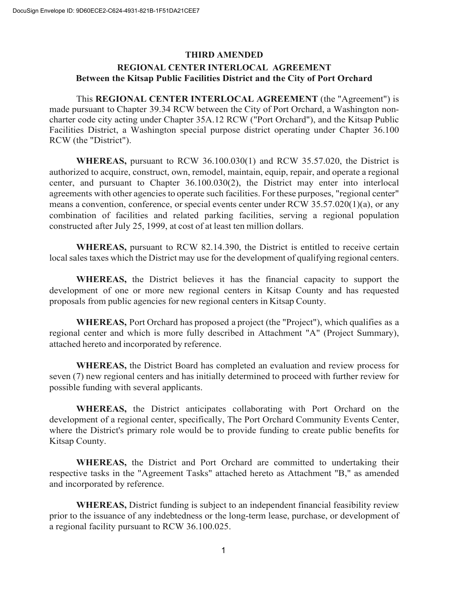## **THIRD AMENDED REGIONAL CENTER INTERLOCAL AGREEMENT Between the Kitsap Public Facilities District and the City of Port Orchard**

This **REGIONAL CENTER INTERLOCAL AGREEMENT** (the "Agreement") is made pursuant to Chapter 39.34 RCW between the City of Port Orchard, a Washington noncharter code city acting under Chapter 35A.12 RCW ("Port Orchard"), and the Kitsap Public Facilities District, a Washington special purpose district operating under Chapter 36.100 RCW (the "District").

**WHEREAS,** pursuant to RCW 36.100.030(1) and RCW 35.57.020, the District is authorized to acquire, construct, own, remodel, maintain, equip, repair, and operate a regional center, and pursuant to Chapter 36.100.030(2), the District may enter into interlocal agreements with other agencies to operate such facilities. For these purposes, "regional center" means a convention, conference, or special events center under RCW 35.57.020(1)(a), or any combination of facilities and related parking facilities, serving a regional population constructed after July 25, 1999, at cost of at least ten million dollars.

**WHEREAS,** pursuant to RCW 82.14.390, the District is entitled to receive certain local sales taxes which the District may use for the development of qualifying regional centers.

**WHEREAS,** the District believes it has the financial capacity to support the development of one or more new regional centers in Kitsap County and has requested proposals from public agencies for new regional centers in Kitsap County.

**WHEREAS,** Port Orchard has proposed a project (the "Project"), which qualifies as a regional center and which is more fully described in Attachment "A" (Project Summary), attached hereto and incorporated by reference.

**WHEREAS,** the District Board has completed an evaluation and review process for seven (7) new regional centers and has initially determined to proceed with further review for possible funding with several applicants.

**WHEREAS,** the District anticipates collaborating with Port Orchard on the development of a regional center, specifically, The Port Orchard Community Events Center, where the District's primary role would be to provide funding to create public benefits for Kitsap County.

**WHEREAS,** the District and Port Orchard are committed to undertaking their respective tasks in the "Agreement Tasks" attached hereto as Attachment "B," as amended and incorporated by reference.

**WHEREAS,** District funding is subject to an independent financial feasibility review prior to the issuance of any indebtedness or the long-term lease, purchase, or development of a regional facility pursuant to RCW 36.100.025.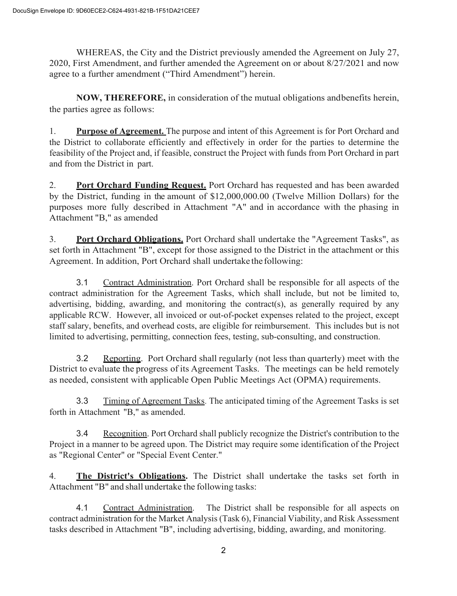WHEREAS, the City and the District previously amended the Agreement on July 27, 2020, First Amendment, and further amended the Agreement on or about 8/27/2021 and now agree to a further amendment ("Third Amendment") herein.

**NOW, THEREFORE,** in consideration of the mutual obligations andbenefits herein, the parties agree as follows:

1. **Purpose of Agreement.** The purpose and intent of this Agreement is for Port Orchard and the District to collaborate efficiently and effectively in order for the parties to determine the feasibility of the Project and, if feasible, construct the Project with funds from Port Orchard in part and from the District in part.

2. **Port Orchard Funding Request.** Port Orchard has requested and has been awarded by the District, funding in the amount of \$12,000,000.00 (Twelve Million Dollars) for the purposes more fully described in Attachment "A" and in accordance with the phasing in Attachment "B," as amended

3. **Port Orchard Obligations.** Port Orchard shall undertake the "Agreement Tasks", as set forth in Attachment "B", except for those assigned to the District in the attachment or this Agreement. In addition, Port Orchard shall undertake the following:

3.1 Contract Administration. Port Orchard shall be responsible for all aspects of the contract administration for the Agreement Tasks, which shall include, but not be limited to, advertising, bidding, awarding, and monitoring the contract(s), as generally required by any applicable RCW. However, all invoiced or out-of-pocket expenses related to the project, except staff salary, benefits, and overhead costs, are eligible for reimbursement. This includes but is not limited to advertising, permitting, connection fees, testing, sub-consulting, and construction.

3.2 Reporting. Port Orchard shall regularly (not less than quarterly) meet with the District to evaluate the progress of its Agreement Tasks. The meetings can be held remotely as needed, consistent with applicable Open Public Meetings Act (OPMA) requirements.

3.3 Timing of Agreement Tasks. The anticipated timing of the Agreement Tasks is set forth in Attachment "B," as amended.

3.4 Recognition. Port Orchard shall publicly recognize the District's contribution to the Project in a manner to be agreed upon. The District may require some identification of the Project as "Regional Center" or "Special Event Center."

4. **The District's Obligations.** The District shall undertake the tasks set forth in Attachment "B" and shall undertake the following tasks:

4.1 Contract Administration. The District shall be responsible for all aspects on contract administration for the Market Analysis (Task 6), Financial Viability, and Risk Assessment tasks described in Attachment "B", including advertising, bidding, awarding, and monitoring.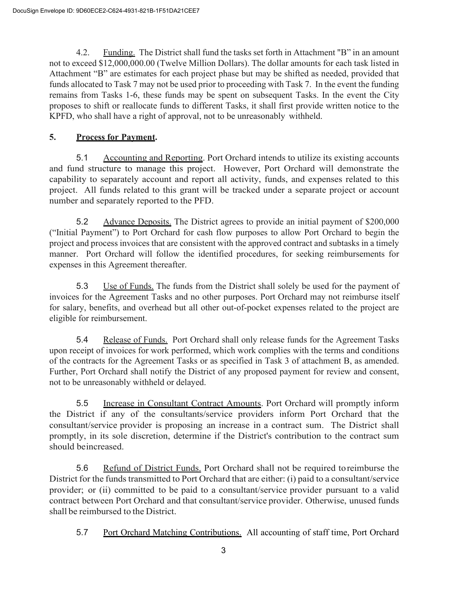4.2. Funding. The District shall fund the tasks set forth in Attachment "B" in an amount not to exceed \$12,000,000.00 (Twelve Million Dollars). The dollar amounts for each task listed in Attachment "B" are estimates for each project phase but may be shifted as needed, provided that funds allocated to Task 7 may not be used prior to proceeding with Task 7. In the event the funding remains from Tasks 1-6, these funds may be spent on subsequent Tasks. In the event the City proposes to shift or reallocate funds to different Tasks, it shall first provide written notice to the KPFD, who shall have a right of approval, not to be unreasonably withheld.

## **5. Process for Payment.**

5.1 Accounting and Reporting. Port Orchard intends to utilize its existing accounts and fund structure to manage this project. However, Port Orchard will demonstrate the capability to separately account and report all activity, funds, and expenses related to this project. All funds related to this grant will be tracked under a separate project or account number and separately reported to the PFD.

5.2 Advance Deposits. The District agrees to provide an initial payment of \$200,000 ("Initial Payment") to Port Orchard for cash flow purposes to allow Port Orchard to begin the project and process invoices that are consistent with the approved contract and subtasks in a timely manner. Port Orchard will follow the identified procedures, for seeking reimbursements for expenses in this Agreement thereafter.

5.3 Use of Funds. The funds from the District shall solely be used for the payment of invoices for the Agreement Tasks and no other purposes. Port Orchard may not reimburse itself for salary, benefits, and overhead but all other out-of-pocket expenses related to the project are eligible for reimbursement.

5.4 Release of Funds. Port Orchard shall only release funds for the Agreement Tasks upon receipt of invoices for work performed, which work complies with the terms and conditions of the contracts for the Agreement Tasks or as specified in Task 3 of attachment B, as amended. Further, Port Orchard shall notify the District of any proposed payment for review and consent, not to be unreasonably withheld or delayed.

5.5 Increase in Consultant Contract Amounts. Port Orchard will promptly inform the District if any of the consultants/service providers inform Port Orchard that the consultant/service provider is proposing an increase in a contract sum. The District shall promptly, in its sole discretion, determine if the District's contribution to the contract sum should beincreased.

5.6 Refund of District Funds. Port Orchard shall not be required to reimburse the District for the funds transmitted to Port Orchard that are either: (i) paid to a consultant/service provider; or (ii) committed to be paid to a consultant/service provider pursuant to a valid contract between Port Orchard and that consultant/service provider. Otherwise, unused funds shall be reimbursed to the District.

5.7 Port Orchard Matching Contributions. All accounting of staff time, Port Orchard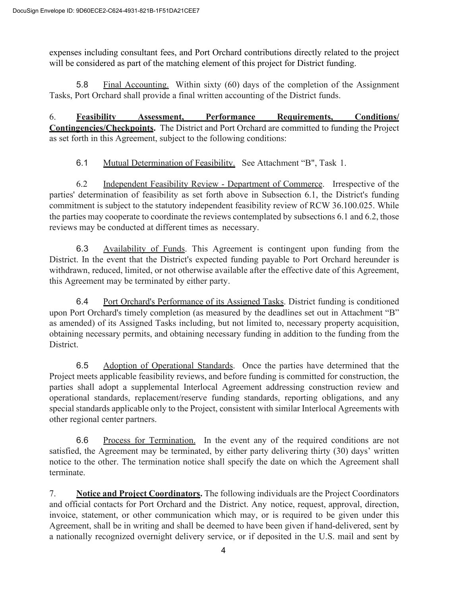expenses including consultant fees, and Port Orchard contributions directly related to the project will be considered as part of the matching element of this project for District funding.

5.8 Final Accounting. Within sixty (60) days of the completion of the Assignment Tasks, Port Orchard shall provide a final written accounting of the District funds.

6. **Feasibility Assessment, Performance Requirements, Conditions/ Contingencies/Checkpoints.** The District and Port Orchard are committed to funding the Project as set forth in this Agreement, subject to the following conditions:

6.1 Mutual Determination of Feasibility. See Attachment "B", Task 1.

6.2 Independent Feasibility Review - Department of Commerce. Irrespective of the parties' determination of feasibility as set forth above in Subsection 6.1, the District's funding commitment is subject to the statutory independent feasibility review of RCW 36.100.025. While the parties may cooperate to coordinate the reviews contemplated by subsections 6.1 and 6.2, those reviews may be conducted at different times as necessary.

6.3 Availability of Funds. This Agreement is contingent upon funding from the District. In the event that the District's expected funding payable to Port Orchard hereunder is withdrawn, reduced, limited, or not otherwise available after the effective date of this Agreement, this Agreement may be terminated by either party.

6.4 Port Orchard's Performance of its Assigned Tasks. District funding is conditioned upon Port Orchard's timely completion (as measured by the deadlines set out in Attachment "B" as amended) of its Assigned Tasks including, but not limited to, necessary property acquisition, obtaining necessary permits, and obtaining necessary funding in addition to the funding from the District.

6.5 Adoption of Operational Standards. Once the parties have determined that the Project meets applicable feasibility reviews, and before funding is committed for construction, the parties shall adopt a supplemental Interlocal Agreement addressing construction review and operational standards, replacement/reserve funding standards, reporting obligations, and any special standards applicable only to the Project, consistent with similar Interlocal Agreements with other regional center partners.

6.6 Process for Termination. In the event any of the required conditions are not satisfied, the Agreement may be terminated, by either party delivering thirty (30) days' written notice to the other. The termination notice shall specify the date on which the Agreement shall terminate.

7. **Notice and Project Coordinators.** The following individuals are the Project Coordinators and official contacts for Port Orchard and the District. Any notice, request, approval, direction, invoice, statement, or other communication which may, or is required to be given under this Agreement, shall be in writing and shall be deemed to have been given if hand-delivered, sent by a nationally recognized overnight delivery service, or if deposited in the U.S. mail and sent by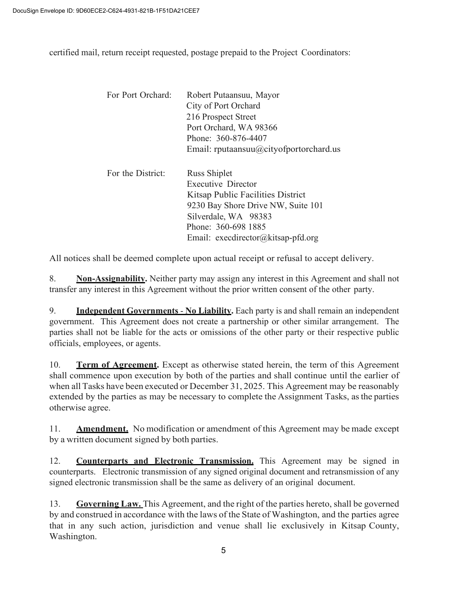certified mail, return receipt requested, postage prepaid to the Project Coordinators:

| For Port Orchard: | Robert Putaansuu, Mayor<br>City of Port Orchard<br>216 Prospect Street<br>Port Orchard, WA 98366<br>Phone: 360-876-4407<br>Email: rputaansuu $@$ cityofportorchard.us                                     |
|-------------------|-----------------------------------------------------------------------------------------------------------------------------------------------------------------------------------------------------------|
| For the District: | Russ Shiplet<br><b>Executive Director</b><br>Kitsap Public Facilities District<br>9230 Bay Shore Drive NW, Suite 101<br>Silverdale, WA 98383<br>Phone: 360-698 1885<br>Email: execdirector@kitsap-pfd.org |

All notices shall be deemed complete upon actual receipt or refusal to accept delivery.

8. **Non-Assignability.** Neither party may assign any interest in this Agreement and shall not transfer any interest in this Agreement without the prior written consent of the other party.

9. **Independent Governments** - **No Liability.** Each party is and shall remain an independent government. This Agreement does not create a partnership or other similar arrangement. The parties shall not be liable for the acts or omissions of the other party or their respective public officials, employees, or agents.

10. **Term of Agreement.** Except as otherwise stated herein, the term of this Agreement shall commence upon execution by both of the parties and shall continue until the earlier of when all Tasks have been executed or December 31, 2025. This Agreement may be reasonably extended by the parties as may be necessary to complete the Assignment Tasks, asthe parties otherwise agree.

11. **Amendment.** No modification or amendment of this Agreement may be made except by a written document signed by both parties.

12. **Counterparts and Electronic Transmission.** This Agreement may be signed in counterparts. Electronic transmission of any signed original document and retransmission of any signed electronic transmission shall be the same as delivery of an original document.

13. **Governing Law.** This Agreement, and the right of the parties hereto, shall be governed by and construed in accordance with the laws of the State of Washington, and the parties agree that in any such action, jurisdiction and venue shall lie exclusively in Kitsap County, Washington.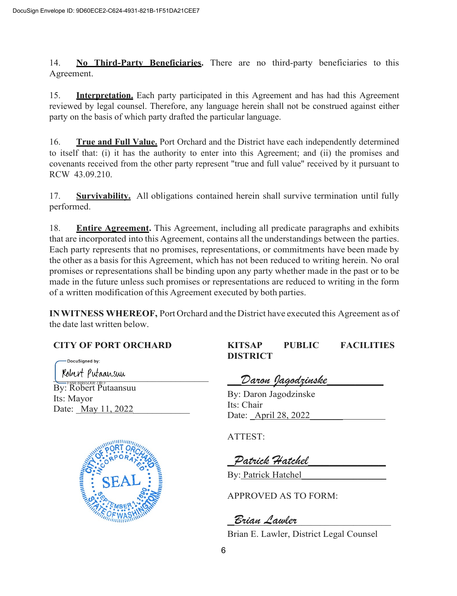14. **No Third-Party Beneficiaries.** There are no third-party beneficiaries to this Agreement.

15. **Interpretation.** Each party participated in this Agreement and has had this Agreement reviewed by legal counsel. Therefore, any language herein shall not be construed against either party on the basis of which party drafted the particular language.

16. **True and Full Value.** Port Orchard and the District have each independently determined to itself that: (i) it has the authority to enter into this Agreement; and (ii) the promises and covenants received from the other party represent "true and full value" received by it pursuant to RCW 43.09.210.

17. **Survivability.** All obligations contained herein shall survive termination until fully performed.

18. **Entire Agreement.** This Agreement, including all predicate paragraphs and exhibits that are incorporated into this Agreement, contains all the understandings between the parties. Each party represents that no promises, representations, or commitments have been made by the other as a basis for this Agreement, which has not been reduced to writing herein. No oral promises or representations shall be binding upon any party whether made in the past or to be made in the future unless such promises or representations are reduced to writing in the form of a written modification ofthis Agreement executed by both parties.

**INWITNESS WHEREOF,** Port Orchard and the District have executed this Agreement as of the date last written below.

# **CITY OF PORT ORCHARD**

DocuSianed by:  $\overline{C}$ 

By: Robert Putaansuu Its: Mayor Date: May 11, 2022



**KITSAP PUBLIC FACILITIES DISTRICT**

*\_\_Daron Jagodzinske\_\_\_\_\_\_\_\_*

By: Daron Jagodzinske Its: Chair Date: <u>April 28</u>, 2022

ATTEST:

*\_Patrick Hatchel\_\_\_\_\_\_\_\_\_\_\_*

By: Patrick Hatchel

APPROVED AS TO FORM:

*\_Brian Lawler*\_\_\_\_\_\_\_\_\_\_\_\_\_\_\_\_\_\_\_\_

Brian E. Lawler, District Legal Counsel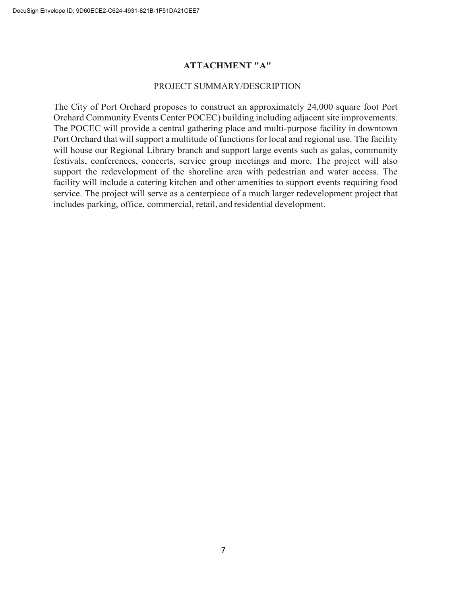#### **ATTACHMENT "A"**

#### PROJECT SUMMARY/DESCRIPTION

The City of Port Orchard proposes to construct an approximately 24,000 square foot Port Orchard Community Events Center POCEC) building including adjacent site improvements. The POCEC will provide a central gathering place and multi-purpose facility in downtown Port Orchard that will support a multitude of functions for local and regional use. The facility will house our Regional Library branch and support large events such as galas, community festivals, conferences, concerts, service group meetings and more. The project will also support the redevelopment of the shoreline area with pedestrian and water access. The facility will include a catering kitchen and other amenities to support events requiring food service. The project will serve as a centerpiece of a much larger redevelopment project that includes parking, office, commercial, retail, and residential development.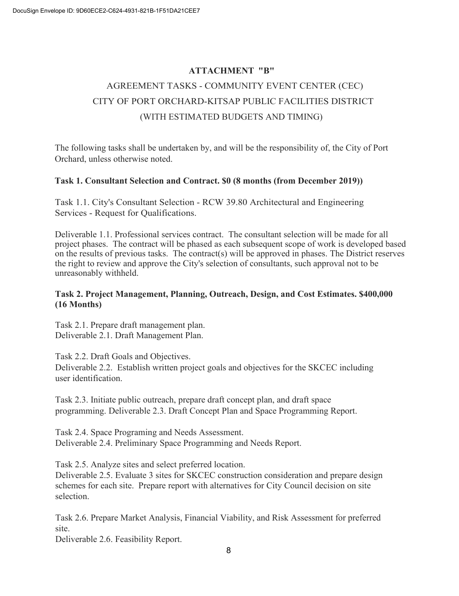# **ATTACHMENT "B"** AGREEMENT TASKS - COMMUNITY EVENT CENTER (CEC) CITY OF PORT ORCHARD-KITSAP PUBLIC FACILITIES DISTRICT (WITH ESTIMATED BUDGETS AND TIMING)

The following tasks shall be undertaken by, and will be the responsibility of, the City of Port Orchard, unless otherwise noted.

#### **Task 1. Consultant Selection and Contract. \$0 (8 months (from December 2019))**

Task 1.1. City's Consultant Selection - RCW 39.80 Architectural and Engineering Services - Request for Qualifications.

Deliverable 1.1. Professional services contract. The consultant selection will be made for all project phases. The contract will be phased as each subsequent scope of work is developed based on the results of previous tasks. The contract(s) will be approved in phases. The District reserves the right to review and approve the City's selection of consultants, such approval not to be unreasonably withheld.

#### **Task 2. Project Management, Planning, Outreach, Design, and Cost Estimates. \$400,000 (16 Months)**

Task 2.1. Prepare draft management plan. Deliverable 2.1. Draft Management Plan.

Task 2.2. Draft Goals and Objectives.

Deliverable 2.2. Establish written project goals and objectives for the SKCEC including user identification.

Task 2.3. Initiate public outreach, prepare draft concept plan, and draft space programming. Deliverable 2.3. Draft Concept Plan and Space Programming Report.

Task 2.4. Space Programing and Needs Assessment. Deliverable 2.4. Preliminary Space Programming and Needs Report.

Task 2.5. Analyze sites and select preferred location.

Deliverable 2.5. Evaluate 3 sites for SKCEC construction consideration and prepare design schemes for each site. Prepare report with alternatives for City Council decision on site selection.

Task 2.6. Prepare Market Analysis, Financial Viability, and Risk Assessment for preferred site.

Deliverable 2.6. Feasibility Report.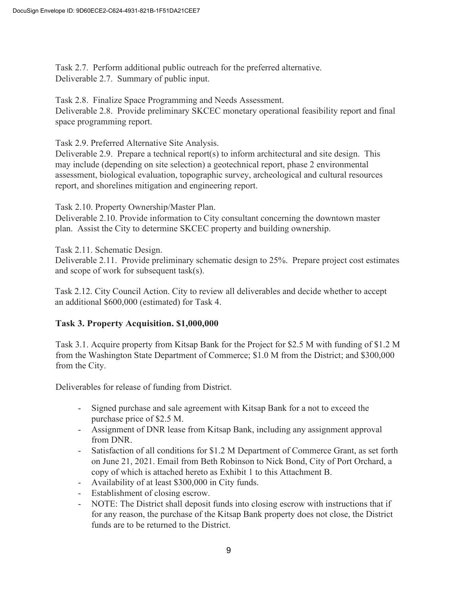Task 2.7. Perform additional public outreach for the preferred alternative. Deliverable 2.7. Summary of public input.

Task 2.8. Finalize Space Programming and Needs Assessment. Deliverable 2.8. Provide preliminary SKCEC monetary operational feasibility report and final space programming report.

Task 2.9. Preferred Alternative Site Analysis.

Deliverable 2.9. Prepare a technical report(s) to inform architectural and site design. This may include (depending on site selection) a geotechnical report, phase 2 environmental assessment, biological evaluation, topographic survey, archeological and cultural resources report, and shorelines mitigation and engineering report.

Task 2.10. Property Ownership/Master Plan.

Deliverable 2.10. Provide information to City consultant concerning the downtown master plan. Assist the City to determine SKCEC property and building ownership.

Task 2.11. Schematic Design.

Deliverable 2.11. Provide preliminary schematic design to 25%. Prepare project cost estimates and scope of work for subsequent task(s).

Task 2.12. City Council Action. City to review all deliverables and decide whether to accept an additional \$600,000 (estimated) for Task 4.

#### **Task 3. Property Acquisition. \$1,000,000**

Task 3.1. Acquire property from Kitsap Bank for the Project for \$2.5 M with funding of \$1.2 M from the Washington State Department of Commerce; \$1.0 M from the District; and \$300,000 from the City.

Deliverables for release of funding from District.

- Signed purchase and sale agreement with Kitsap Bank for a not to exceed the purchase price of \$2.5 M.
- Assignment of DNR lease from Kitsap Bank, including any assignment approval from DNR.
- Satisfaction of all conditions for \$1.2 M Department of Commerce Grant, as set forth on June 21, 2021. Email from Beth Robinson to Nick Bond, City of Port Orchard, a copy of which is attached hereto as Exhibit 1 to this Attachment B.
- Availability of at least \$300,000 in City funds.
- Establishment of closing escrow.
- NOTE: The District shall deposit funds into closing escrow with instructions that if for any reason, the purchase of the Kitsap Bank property does not close, the District funds are to be returned to the District.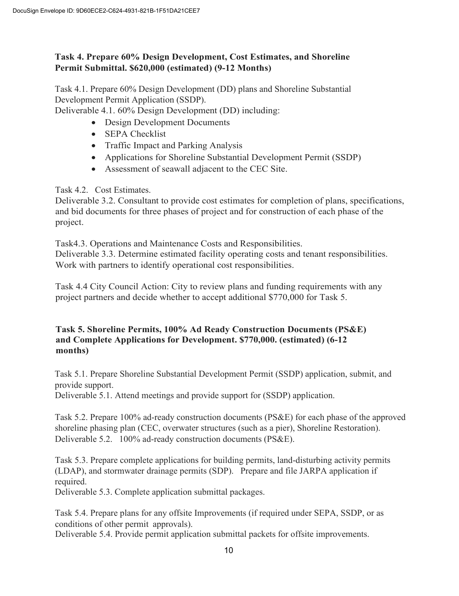## **Task 4. Prepare 60% Design Development, Cost Estimates, and Shoreline Permit Submittal. \$620,000 (estimated) (9-12 Months)**

Task 4.1. Prepare 60% Design Development (DD) plans and Shoreline Substantial Development Permit Application (SSDP).

Deliverable 4.1. 60% Design Development (DD) including:

- Design Development Documents
- **SEPA Checklist**
- Traffic Impact and Parking Analysis
- Applications for Shoreline Substantial Development Permit (SSDP)
- Assessment of seawall adjacent to the CEC Site.

Task 4.2. Cost Estimates.

Deliverable 3.2. Consultant to provide cost estimates for completion of plans, specifications, and bid documents for three phases of project and for construction of each phase of the project.

Task4.3. Operations and Maintenance Costs and Responsibilities. Deliverable 3.3. Determine estimated facility operating costs and tenant responsibilities. Work with partners to identify operational cost responsibilities.

Task 4.4 City Council Action: City to review plans and funding requirements with any project partners and decide whether to accept additional \$770,000 for Task 5.

#### **Task 5. Shoreline Permits, 100% Ad Ready Construction Documents (PS&E) and Complete Applications for Development. \$770,000. (estimated) (6-12 months)**

Task 5.1. Prepare Shoreline Substantial Development Permit (SSDP) application, submit, and provide support.

Deliverable 5.1. Attend meetings and provide support for (SSDP) application.

Task 5.2. Prepare 100% ad-ready construction documents (PS&E) for each phase of the approved shoreline phasing plan (CEC, overwater structures (such as a pier), Shoreline Restoration). Deliverable 5.2. 100% ad-ready construction documents (PS&E).

Task 5.3. Prepare complete applications for building permits, land-disturbing activity permits (LDAP), and stormwater drainage permits (SDP). Prepare and file JARPA application if required.

Deliverable 5.3. Complete application submittal packages.

Task 5.4. Prepare plans for any offsite Improvements (if required under SEPA, SSDP, or as conditions of other permit approvals).

Deliverable 5.4. Provide permit application submittal packets for offsite improvements.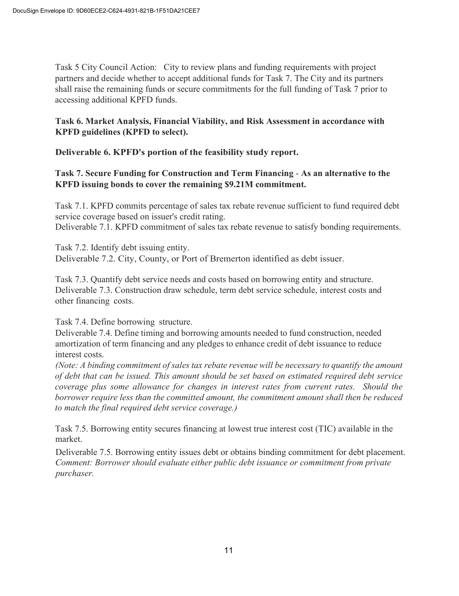Task 5 City Council Action: City to review plans and funding requirements with project partners and decide whether to accept additional funds for Task 7. The City and its partners shall raise the remaining funds or secure commitments for the full funding of Task 7 prior to accessing additional KPFD funds.

## **Task 6. Market Analysis, Financial Viability, and Risk Assessment in accordance with KPFD guidelines (KPFD to select).**

**Deliverable 6. KPFD's portion of the feasibility study report.**

#### **Task 7. Secure Funding for Construction and Term Financing** - **As an alternative to the KPFD issuing bonds to cover the remaining \$9.21M commitment.**

Task 7.1. KPFD commits percentage of sales tax rebate revenue sufficient to fund required debt service coverage based on issuer's credit rating. Deliverable 7.1. KPFD commitment of sales tax rebate revenue to satisfy bonding requirements.

Task 7.2. Identify debt issuing entity. Deliverable 7.2. City, County, or Port of Bremerton identified as debt issuer.

Task 7.3. Quantify debt service needs and costs based on borrowing entity and structure. Deliverable 7.3. Construction draw schedule, term debt service schedule, interest costs and other financing costs.

Task 7.4. Define borrowing structure.

Deliverable 7.4. Define timing and borrowing amounts needed to fund construction, needed amortization of term financing and any pledges to enhance credit of debt issuance to reduce interest costs.

*(Note: A binding commitment of sales tax rebate revenue will be necessary to quantify the amount of debt that can be issued. This amount should be set based on estimated required debt service coverage plus some allowance for changes in interest rates from current rates. Should the borrower require less than the committed amount, the commitment amount shall then be reduced to match the final required debt service coverage.)*

Task 7.5. Borrowing entity secures financing at lowest true interest cost (TIC) available in the market.

Deliverable 7.5. Borrowing entity issues debt or obtains binding commitment for debt placement. *Comment: Borrower should evaluate either public debt issuance or commitment from private purchaser.*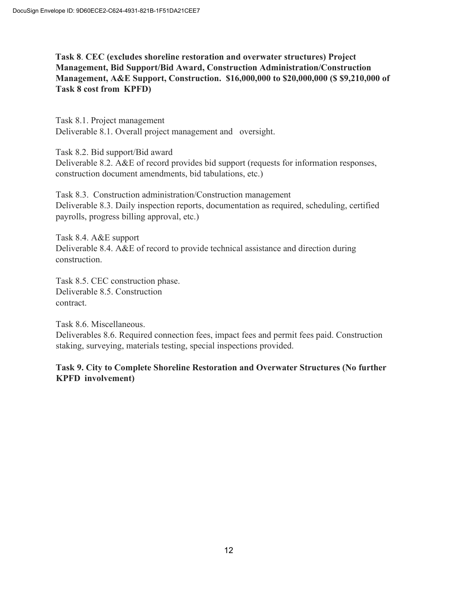## **Task 8**. **CEC (excludes shoreline restoration and overwater structures) Project Management, Bid Support/Bid Award, Construction Administration/Construction Management, A&E Support, Construction. \$16,000,000 to \$20,000,000 (\$ \$9,210,000 of Task 8 cost from KPFD)**

Task 8.1. Project management Deliverable 8.1. Overall project management and oversight.

Task 8.2. Bid support/Bid award Deliverable 8.2. A&E of record provides bid support (requests for information responses,

construction document amendments, bid tabulations, etc.)

Task 8.3. Construction administration/Construction management Deliverable 8.3. Daily inspection reports, documentation as required, scheduling, certified payrolls, progress billing approval, etc.)

Task 8.4. A&E support Deliverable 8.4. A&E of record to provide technical assistance and direction during construction.

Task 8.5. CEC construction phase. Deliverable 8.5. Construction contract.

Task 8.6. Miscellaneous. Deliverables 8.6. Required connection fees, impact fees and permit fees paid. Construction staking, surveying, materials testing, special inspections provided.

**Task 9. City to Complete Shoreline Restoration and Overwater Structures (No further KPFD involvement)**